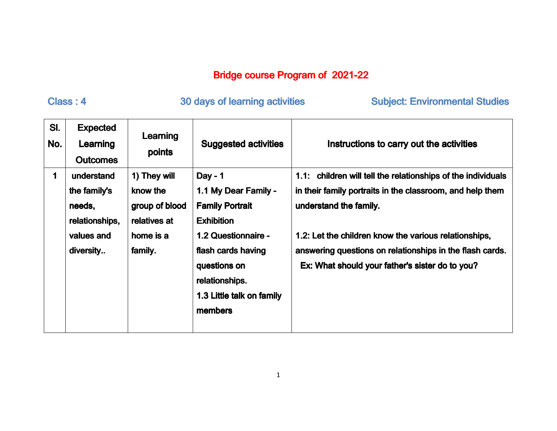## Bridge course Program of 2021-22

## Class : 4 Class 30 days of learning activities activities Subject: Environmental Studies : Environmental Studies

| SI.<br>No. | <b>Expected</b><br>Learning<br><b>Outcomes</b>                                    | Learning<br>points                                                                 | <b>Suggested activities</b>                                                                                                                                                                             | Instructions to carry out the activities                                                                                                                                                                                                                                                                                    |
|------------|-----------------------------------------------------------------------------------|------------------------------------------------------------------------------------|---------------------------------------------------------------------------------------------------------------------------------------------------------------------------------------------------------|-----------------------------------------------------------------------------------------------------------------------------------------------------------------------------------------------------------------------------------------------------------------------------------------------------------------------------|
| 1          | understand<br>the family's<br>needs,<br>relationships,<br>values and<br>diversity | 1) They will<br>know the<br>group of blood<br>relatives at<br>home is a<br>family. | Day - $1$<br>1.1 My Dear Family -<br><b>Family Portrait</b><br><b>Exhibition</b><br>1.2 Questionnaire -<br>flash cards having<br>questions on<br>relationships.<br>1.3 Little talk on family<br>members | 1.1: children will tell the relationships of the individuals<br>in their family portraits in the classroom, and help them<br>understand the family.<br>1.2: Let the children know the various relationships,<br>answering questions on relationships in the flash cards.<br>Ex: What should your father's sister do to you? |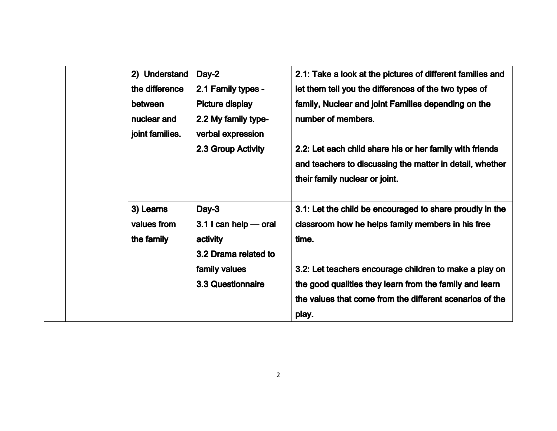|  | 2) Understand   | Day-2                    | 2.1: Take a look at the pictures of different families and |
|--|-----------------|--------------------------|------------------------------------------------------------|
|  | the difference  | 2.1 Family types -       | let them tell you the differences of the two types of      |
|  | between         | <b>Picture display</b>   | family, Nuclear and joint Families depending on the        |
|  | nuclear and     | 2.2 My family type-      | number of members.                                         |
|  | joint families. | verbal expression        |                                                            |
|  |                 | 2.3 Group Activity       | 2.2: Let each child share his or her family with friends   |
|  |                 |                          | and teachers to discussing the matter in detail, whether   |
|  |                 |                          | their family nuclear or joint.                             |
|  |                 |                          |                                                            |
|  | 3) Learns       | Day-3                    | 3.1: Let the child be encouraged to share proudly in the   |
|  | values from     | $3.1$ I can help — oral  | classroom how he helps family members in his free          |
|  | the family      | activity                 | time.                                                      |
|  |                 | 3.2 Drama related to     |                                                            |
|  |                 | family values            | 3.2: Let teachers encourage children to make a play on     |
|  |                 | <b>3.3 Questionnaire</b> | the good qualities they learn from the family and learn    |
|  |                 |                          | the values that come from the different scenarios of the   |
|  |                 |                          | play.                                                      |
|  |                 |                          |                                                            |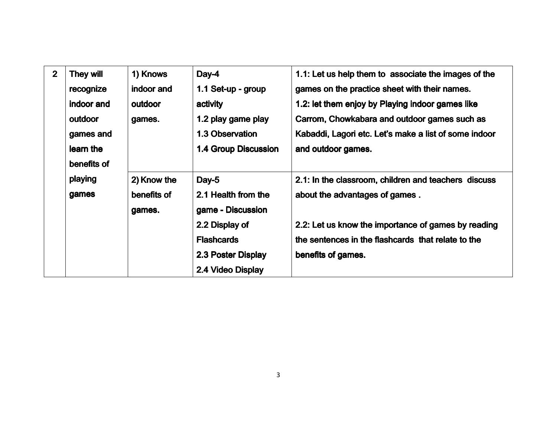| $\overline{2}$ | <b>They will</b> | 1) Knows    | Day-4                       | 1.1: Let us help them to associate the images of the  |
|----------------|------------------|-------------|-----------------------------|-------------------------------------------------------|
|                | recognize        | indoor and  | 1.1 Set-up - group          | games on the practice sheet with their names.         |
|                | indoor and       | outdoor     | activity                    | 1.2: let them enjoy by Playing indoor games like      |
|                | outdoor          | games.      | 1.2 play game play          | Carrom, Chowkabara and outdoor games such as          |
|                | games and        |             | 1.3 Observation             | Kabaddi, Lagori etc. Let's make a list of some indoor |
|                | learn the        |             | <b>1.4 Group Discussion</b> | and outdoor games.                                    |
|                | benefits of      |             |                             |                                                       |
|                | playing          | 2) Know the | Day-5                       | 2.1: In the classroom, children and teachers discuss  |
|                | games            | benefits of | 2.1 Health from the         | about the advantages of games.                        |
|                |                  | games.      | game - Discussion           |                                                       |
|                |                  |             | 2.2 Display of              | 2.2: Let us know the importance of games by reading   |
|                |                  |             | <b>Flashcards</b>           | the sentences in the flashcards that relate to the    |
|                |                  |             | 2.3 Poster Display          | benefits of games.                                    |
|                |                  |             | 2.4 Video Display           |                                                       |
|                |                  |             |                             |                                                       |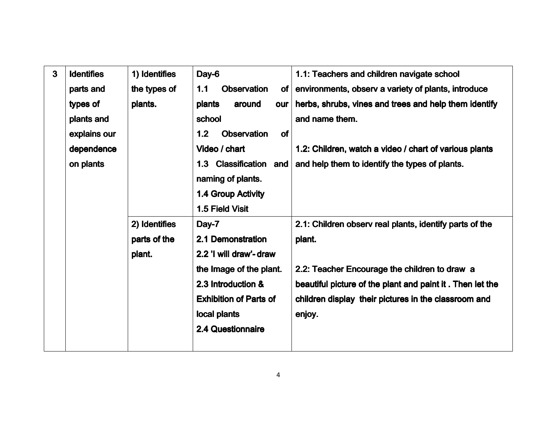| $\mathbf{3}$ | <b>Identifies</b> | 1) Identifies | Day-6                                        | 1.1: Teachers and children navigate school                |
|--------------|-------------------|---------------|----------------------------------------------|-----------------------------------------------------------|
|              | parts and         | the types of  | <b>Observation</b><br>1.1<br>of <sub>l</sub> | environments, observ a variety of plants, introduce       |
|              | types of          | plants.       | plants<br>around<br>our                      | herbs, shrubs, vines and trees and help them identify     |
|              | plants and        |               | school                                       | and name them.                                            |
|              | explains our      |               | 1.2<br><b>Observation</b><br><b>of</b>       |                                                           |
|              | dependence        |               | Video / chart                                | 1.2: Children, watch a video / chart of various plants    |
|              | on plants         |               | <b>Classification</b><br>1.3<br>and          | and help them to identify the types of plants.            |
|              |                   |               | naming of plants.                            |                                                           |
|              |                   |               | 1.4 Group Activity                           |                                                           |
|              |                   |               | 1.5 Field Visit                              |                                                           |
|              |                   | 2) Identifies | Day-7                                        | 2.1: Children observ real plants, identify parts of the   |
|              |                   | parts of the  | 2.1 Demonstration                            | plant.                                                    |
|              |                   | plant.        | 2.2 'I will draw'- draw                      |                                                           |
|              |                   |               | the Image of the plant.                      | 2.2: Teacher Encourage the children to draw a             |
|              |                   |               | 2.3 Introduction &                           | beautiful picture of the plant and paint it. Then let the |
|              |                   |               | <b>Exhibition of Parts of</b>                | children display their pictures in the classroom and      |
|              |                   |               | local plants                                 | enjoy.                                                    |
|              |                   |               | <b>2.4 Questionnaire</b>                     |                                                           |
|              |                   |               |                                              |                                                           |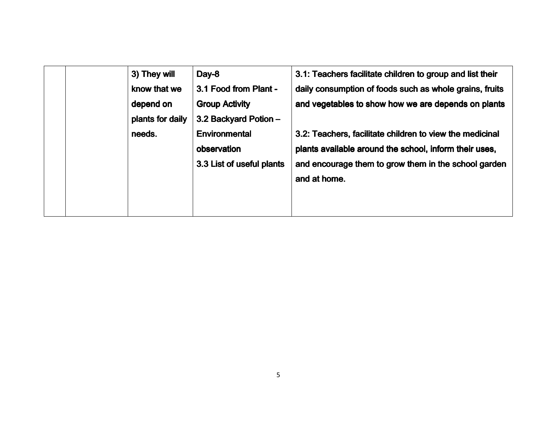| 3) They will<br>know that we<br>depend on<br>plants for daily | Day-8<br>3.1 Food from Plant -<br><b>Group Activity</b><br>3.2 Backyard Potion - | 3.1: Teachers facilitate children to group and list their<br>daily consumption of foods such as whole grains, fruits<br>and vegetables to show how we are depends on plants                |
|---------------------------------------------------------------|----------------------------------------------------------------------------------|--------------------------------------------------------------------------------------------------------------------------------------------------------------------------------------------|
| needs.                                                        | Environmental<br>observation<br>3.3 List of useful plants                        | 3.2: Teachers, facilitate children to view the medicinal<br>plants available around the school, inform their uses,<br>and encourage them to grow them in the school garden<br>and at home. |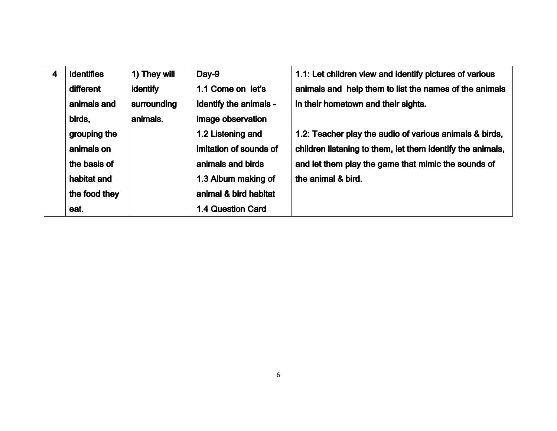| $\overline{\mathbf{4}}$ | <b>Identifies</b> | 1) They will    | Day-9                    | 1.1: Let children view and identify pictures of various    |
|-------------------------|-------------------|-----------------|--------------------------|------------------------------------------------------------|
|                         | different         | <b>identify</b> | 1.1 Come on let's        | animals and help them to list the names of the animals     |
|                         | animals and       | surrounding     | Identify the animals -   | in their hometown and their sights.                        |
|                         | birds,            | animals.        | image observation        |                                                            |
|                         | grouping the      |                 | 1.2 Listening and        | 1.2: Teacher play the audio of various animals & birds,    |
|                         | animals on        |                 | imitation of sounds of   | children listening to them, let them identify the animals, |
|                         | the basis of      |                 | animals and birds        | and let them play the game that mimic the sounds of        |
|                         | habitat and       |                 | 1.3 Album making of      | the animal & bird.                                         |
|                         | the food they     |                 | animal & bird habitat    |                                                            |
|                         | eat.              |                 | <b>1.4 Question Card</b> |                                                            |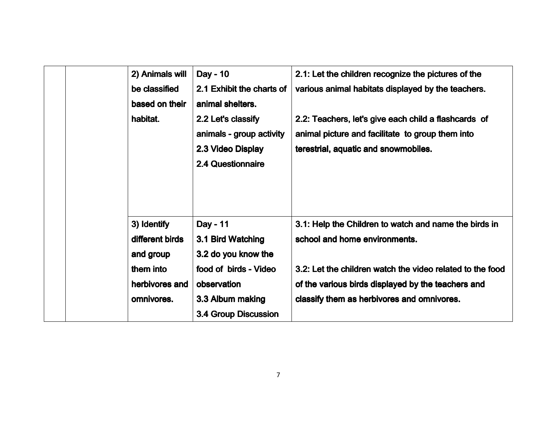| 2) Animals will                | Day - 10                                                                                        | 2.1: Let the children recognize the pictures of the                                                                                              |
|--------------------------------|-------------------------------------------------------------------------------------------------|--------------------------------------------------------------------------------------------------------------------------------------------------|
| be classified                  | 2.1 Exhibit the charts of                                                                       | various animal habitats displayed by the teachers.                                                                                               |
| based on their                 | animal shelters.                                                                                |                                                                                                                                                  |
| habitat.                       | 2.2 Let's classify<br>animals - group activity<br>2.3 Video Display<br><b>2.4 Questionnaire</b> | 2.2: Teachers, let's give each child a flashcards of<br>animal picture and facilitate to group them into<br>terestrial, aquatic and snowmobiles. |
| 3) Identify<br>different birds | Day - 11<br>3.1 Bird Watching                                                                   | 3.1: Help the Children to watch and name the birds in<br>school and home environments.                                                           |
| and group                      | 3.2 do you know the                                                                             |                                                                                                                                                  |
| them into                      | food of birds - Video                                                                           | 3.2: Let the children watch the video related to the food                                                                                        |
| herbivores and                 | observation                                                                                     | of the various birds displayed by the teachers and                                                                                               |
| omnivores.                     | 3.3 Album making                                                                                | classify them as herbivores and omnivores.                                                                                                       |
|                                | <b>3.4 Group Discussion</b>                                                                     |                                                                                                                                                  |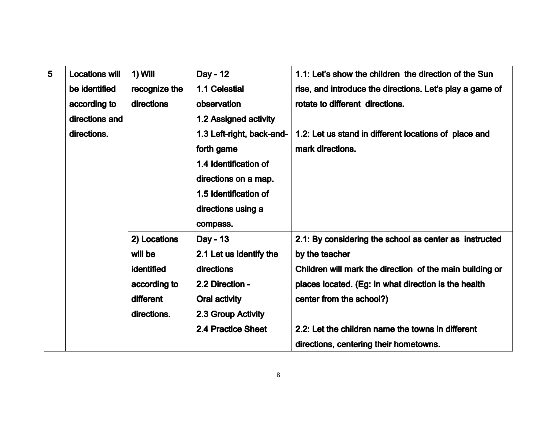| $5\phantom{1}$ | <b>Locations will</b> | $1)$ Will     | Day - 12                  | 1.1: Let's show the children the direction of the Sun    |
|----------------|-----------------------|---------------|---------------------------|----------------------------------------------------------|
|                | be identified         | recognize the | 1.1 Celestial             | rise, and introduce the directions. Let's play a game of |
|                | according to          | directions    | observation               | rotate to different directions.                          |
|                | directions and        |               | 1.2 Assigned activity     |                                                          |
|                | directions.           |               | 1.3 Left-right, back-and- | 1.2: Let us stand in different locations of place and    |
|                |                       |               | forth game                | mark directions.                                         |
|                |                       |               | 1.4 Identification of     |                                                          |
|                |                       |               | directions on a map.      |                                                          |
|                |                       |               | 1.5 Identification of     |                                                          |
|                |                       |               | directions using a        |                                                          |
|                |                       |               | compass.                  |                                                          |
|                |                       | 2) Locations  | Day - 13                  | 2.1: By considering the school as center as instructed   |
|                |                       | will be       | 2.1 Let us identify the   | by the teacher                                           |
|                |                       | identified    | directions                | Children will mark the direction of the main building or |
|                |                       | according to  | 2.2 Direction -           | places located. (Eg: In what direction is the health     |
|                |                       | different     | Oral activity             | center from the school?)                                 |
|                |                       | directions.   | 2.3 Group Activity        |                                                          |
|                |                       |               | 2.4 Practice Sheet        | 2.2: Let the children name the towns in different        |
|                |                       |               |                           | directions, centering their hometowns.                   |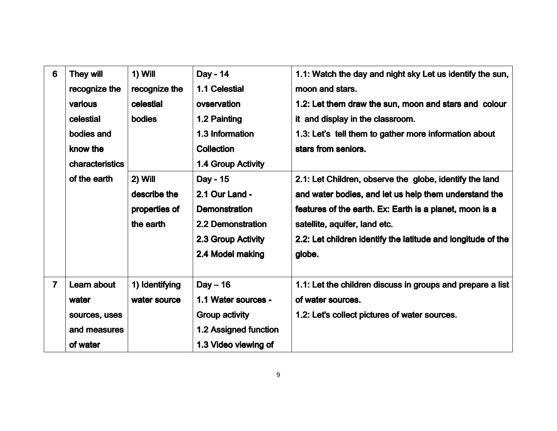| 6              | <b>They will</b><br>recognize the<br>various<br>celestial<br>bodies and<br>know the<br>characteristics<br>of the earth | 1) Will<br>recognize the<br>celestial<br><b>bodies</b> | Day - 14<br>1.1 Celestial<br>ovservation<br>1.2 Painting<br>1.3 Information<br><b>Collection</b>                                        | 1.1: Watch the day and night sky Let us identify the sun,<br>moon and stars.<br>1.2: Let them draw the sun, moon and stars and colour<br>it and display in the classroom.<br>1.3: Let's tell them to gather more information about<br>stars from seniors.                              |
|----------------|------------------------------------------------------------------------------------------------------------------------|--------------------------------------------------------|-----------------------------------------------------------------------------------------------------------------------------------------|----------------------------------------------------------------------------------------------------------------------------------------------------------------------------------------------------------------------------------------------------------------------------------------|
|                |                                                                                                                        | 2) Will<br>describe the<br>properties of<br>the earth  | 1.4 Group Activity<br>Day - 15<br>2.1 Our Land -<br><b>Demonstration</b><br>2.2 Demonstration<br>2.3 Group Activity<br>2.4 Model making | 2.1: Let Children, observe the globe, identify the land<br>and water bodies, and let us help them understand the<br>features of the earth. Ex: Earth is a planet, moon is a<br>satellite, aquifer, land etc.<br>2.2: Let children identify the latitude and longitude of the<br>globe. |
| $\overline{7}$ | Learn about<br>water<br>sources, uses<br>and measures<br>of water                                                      | 1) Identifying<br>water source                         | $Day - 16$<br>1.1 Water sources -<br><b>Group activity</b><br>1.2 Assigned function<br>1.3 Video viewing of                             | 1.1: Let the children discuss in groups and prepare a list<br>of water sources.<br>1.2: Let's collect pictures of water sources.                                                                                                                                                       |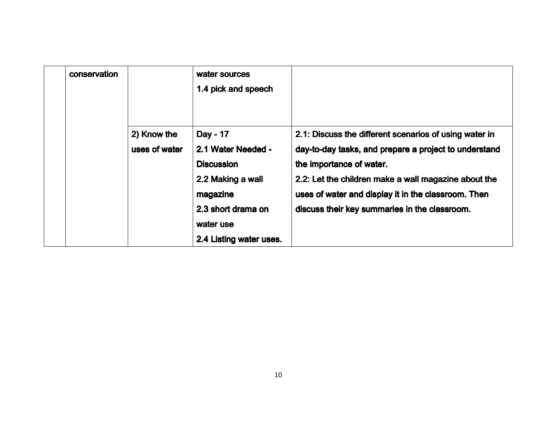| conservation |                              | water sources<br>1.4 pick and speech                                                                                                               |                                                                                                                                                                                                                                                                                                             |
|--------------|------------------------------|----------------------------------------------------------------------------------------------------------------------------------------------------|-------------------------------------------------------------------------------------------------------------------------------------------------------------------------------------------------------------------------------------------------------------------------------------------------------------|
|              | 2) Know the<br>uses of water | Day - 17<br>2.1 Water Needed -<br><b>Discussion</b><br>2.2 Making a wall<br>magazine<br>2.3 short drama on<br>water use<br>2.4 Listing water uses. | 2.1: Discuss the different scenarios of using water in<br>day-to-day tasks, and prepare a project to understand<br>the importance of water.<br>2.2: Let the children make a wall magazine about the<br>uses of water and display it in the classroom. Then<br>discuss their key summaries in the classroom. |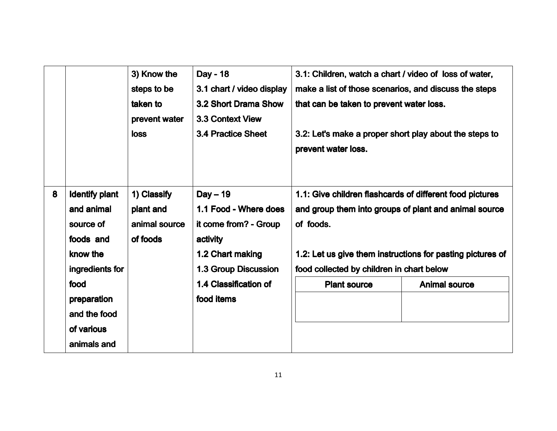|   |                                                                                              | 3) Know the<br>steps to be<br>taken to<br>prevent water<br><b>loss</b> | Day - 18<br>3.1 chart / video display<br>3.2 Short Drama Show<br><b>3.3 Context View</b><br><b>3.4 Practice Sheet</b>       | 3.1: Children, watch a chart / video of loss of water,<br>make a list of those scenarios, and discuss the steps<br>that can be taken to prevent water loss.<br>3.2: Let's make a proper short play about the steps to<br>prevent water loss. |                      |
|---|----------------------------------------------------------------------------------------------|------------------------------------------------------------------------|-----------------------------------------------------------------------------------------------------------------------------|----------------------------------------------------------------------------------------------------------------------------------------------------------------------------------------------------------------------------------------------|----------------------|
| 8 | <b>Identify plant</b><br>and animal<br>source of<br>foods and<br>know the<br>ingredients for | 1) Classify<br>plant and<br>animal source<br>of foods                  | $Day - 19$<br>1.1 Food - Where does<br>it come from? - Group<br>activity<br>1.2 Chart making<br><b>1.3 Group Discussion</b> | 1.1: Give children flashcards of different food pictures<br>and group them into groups of plant and animal source<br>of foods.<br>1.2: Let us give them instructions for pasting pictures of<br>food collected by children in chart below    |                      |
|   | food<br>preparation<br>and the food<br>of various<br>animals and                             |                                                                        | 1.4 Classification of<br>food items                                                                                         | <b>Plant source</b>                                                                                                                                                                                                                          | <b>Animal source</b> |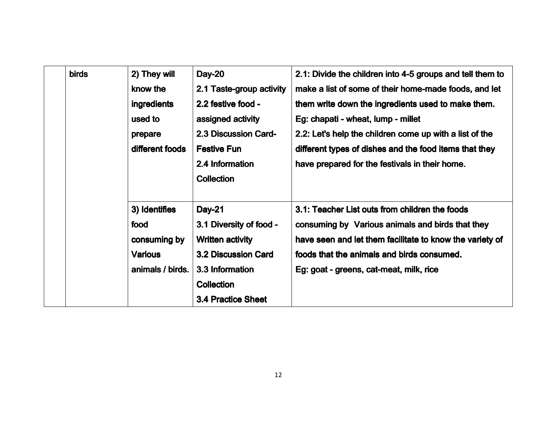| <b>birds</b> | 2) They will     | <b>Day-20</b>               | 2.1: Divide the children into 4-5 groups and tell them to |
|--------------|------------------|-----------------------------|-----------------------------------------------------------|
|              | know the         | 2.1 Taste-group activity    | make a list of some of their home-made foods, and let     |
|              | ingredients      | 2.2 festive food -          | them write down the ingredients used to make them.        |
|              | used to          | assigned activity           | Eg: chapati - wheat, lump - millet                        |
|              | prepare          | <b>2.3 Discussion Card-</b> | 2.2: Let's help the children come up with a list of the   |
|              | different foods  | <b>Festive Fun</b>          | different types of dishes and the food items that they    |
|              |                  | 2.4 Information             | have prepared for the festivals in their home.            |
|              |                  | <b>Collection</b>           |                                                           |
|              |                  |                             |                                                           |
|              | 3) Identifies    | <b>Day-21</b>               | 3.1: Teacher List outs from children the foods            |
|              | food             | 3.1 Diversity of food -     | consuming by Various animals and birds that they          |
|              | consuming by     | <b>Written activity</b>     | have seen and let them facilitate to know the variety of  |
|              | <b>Various</b>   | <b>3.2 Discussion Card</b>  | foods that the animals and birds consumed.                |
|              | animals / birds. | 3.3 Information             | Eg: goat - greens, cat-meat, milk, rice                   |
|              |                  | <b>Collection</b>           |                                                           |
|              |                  | <b>3.4 Practice Sheet</b>   |                                                           |
|              |                  |                             |                                                           |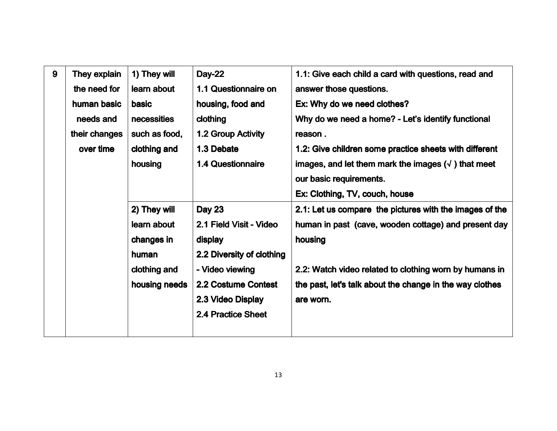| 9 | They explain  | 1) They will  | <b>Day-22</b>             | 1.1: Give each child a card with questions, read and       |
|---|---------------|---------------|---------------------------|------------------------------------------------------------|
|   | the need for  | learn about   | 1.1 Questionnaire on      | answer those questions.                                    |
|   | human basic   | <b>basic</b>  | housing, food and         | Ex: Why do we need clothes?                                |
|   | needs and     | necessities   | clothing                  | Why do we need a home? - Let's identify functional         |
|   | their changes | such as food, | 1.2 Group Activity        | reason.                                                    |
|   | over time     | clothing and  | 1.3 Debate                | 1.2: Give children some practice sheets with different     |
|   |               | housing       | <b>1.4 Questionnaire</b>  | images, and let them mark the images $(\sqrt{})$ that meet |
|   |               |               |                           | our basic requirements.                                    |
|   |               |               |                           | Ex: Clothing, TV, couch, house                             |
|   |               | 2) They will  | <b>Day 23</b>             | 2.1: Let us compare the pictures with the images of the    |
|   |               | learn about   | 2.1 Field Visit - Video   | human in past (cave, wooden cottage) and present day       |
|   |               | changes in    | display                   | housing                                                    |
|   |               | human         | 2.2 Diversity of clothing |                                                            |
|   |               | clothing and  | - Video viewing           | 2.2: Watch video related to clothing worn by humans in     |
|   |               | housing needs | 2.2 Costume Contest       | the past, let's talk about the change in the way clothes   |
|   |               |               | 2.3 Video Display         | are worn.                                                  |
|   |               |               | 2.4 Practice Sheet        |                                                            |
|   |               |               |                           |                                                            |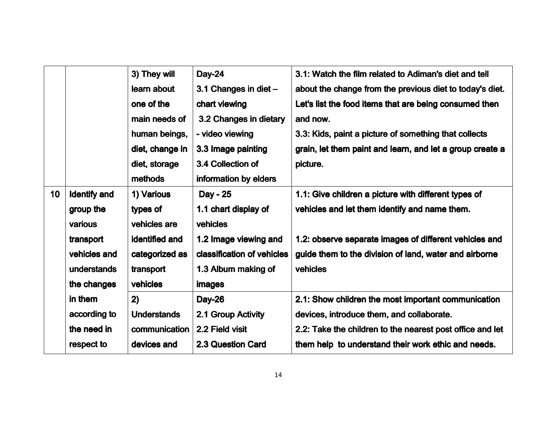|                 |                     | 3) They will       | <b>Day-24</b>              | 3.1: Watch the film related to Adiman's diet and tell     |
|-----------------|---------------------|--------------------|----------------------------|-----------------------------------------------------------|
|                 |                     | learn about        | 3.1 Changes in diet -      | about the change from the previous diet to today's diet.  |
|                 |                     | one of the         | chart viewing              | Let's list the food items that are being consumed then    |
|                 |                     | main needs of      | 3.2 Changes in dietary     | and now.                                                  |
|                 |                     | human beings,      | - video viewing            | 3.3: Kids, paint a picture of something that collects     |
|                 |                     | diet, change in    | 3.3 Image painting         | grain, let them paint and learn, and let a group create a |
|                 |                     | diet, storage      | 3.4 Collection of          | picture.                                                  |
|                 |                     | methods            | information by elders      |                                                           |
| 10 <sub>1</sub> | <b>Identify and</b> | 1) Various         | Day - 25                   | 1.1: Give children a picture with different types of      |
|                 | group the           | types of           | 1.1 chart display of       | vehicles and let them identify and name them.             |
|                 | various             | vehicles are       | vehicles                   |                                                           |
|                 | transport           | identified and     | 1.2 Image viewing and      | 1.2: observe separate images of different vehicles and    |
|                 | vehicles and        | categorized as     | classification of vehicles | guide them to the division of land, water and airborne    |
|                 | understands         | transport          | 1.3 Album making of        | vehicles                                                  |
|                 | the changes         | vehicles           | images                     |                                                           |
|                 | in them             | 2)                 | <b>Day-26</b>              | 2.1: Show children the most important communication       |
|                 | according to        | <b>Understands</b> | 2.1 Group Activity         | devices, introduce them, and collaborate.                 |
|                 | the need in         | communication      | 2.2 Field visit            | 2.2: Take the children to the nearest post office and let |
|                 | respect to          | devices and        | 2.3 Question Card          | them help to understand their work ethic and needs.       |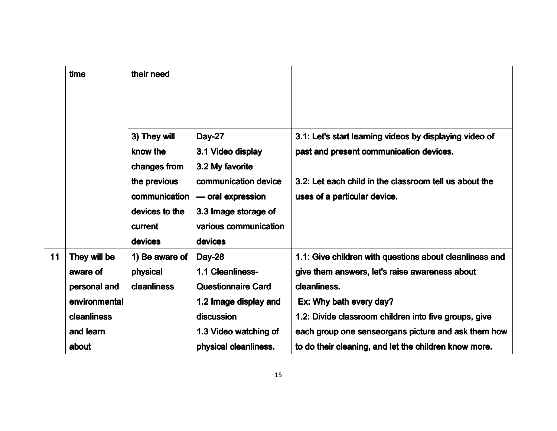|    | time          | their need         |                           |                                                         |
|----|---------------|--------------------|---------------------------|---------------------------------------------------------|
|    |               |                    |                           |                                                         |
|    |               | 3) They will       | Day-27                    | 3.1: Let's start learning videos by displaying video of |
|    |               | know the           | 3.1 Video display         | past and present communication devices.                 |
|    |               | changes from       | 3.2 My favorite           |                                                         |
|    |               | the previous       | communication device      | 3.2: Let each child in the classroom tell us about the  |
|    |               | communication      | - oral expression         | uses of a particular device.                            |
|    |               | devices to the     | 3.3 Image storage of      |                                                         |
|    |               | current            | various communication     |                                                         |
|    |               | devices            | devices                   |                                                         |
| 11 | They will be  | 1) Be aware of     | <b>Day-28</b>             | 1.1: Give children with questions about cleanliness and |
|    | aware of      | physical           | 1.1 Cleanliness-          | give them answers, let's raise awareness about          |
|    | personal and  | <b>cleanliness</b> | <b>Questionnaire Card</b> | cleanliness.                                            |
|    | environmental |                    | 1.2 Image display and     | Ex: Why bath every day?                                 |
|    | cleanliness   |                    | discussion                | 1.2: Divide classroom children into five groups, give   |
|    | and learn     |                    | 1.3 Video watching of     | each group one senseorgans picture and ask them how     |
|    | about         |                    | physical cleanliness.     | to do their cleaning, and let the children know more.   |